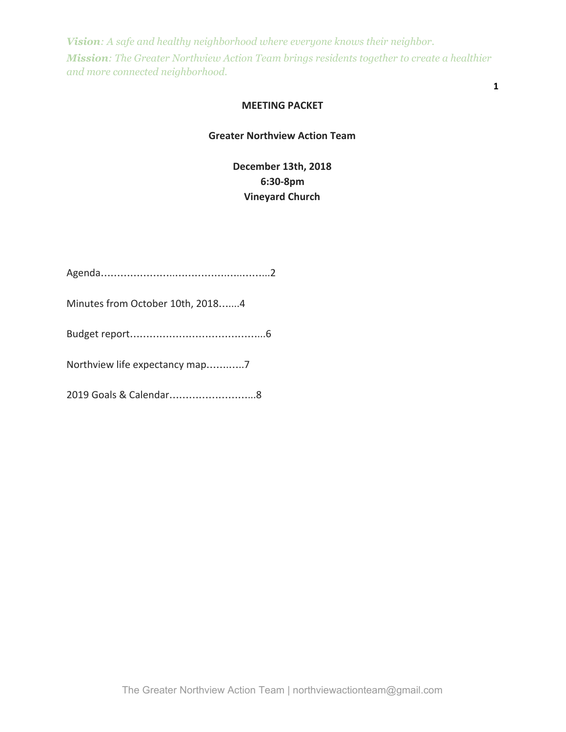#### **MEETING PACKET**

**1**

## **Greater Northview Action Team**

**December 13th, 2018 6:30-8pm Vineyard Church**

| Minutes from October 10th, 20184 |
|----------------------------------|
|                                  |
|                                  |
|                                  |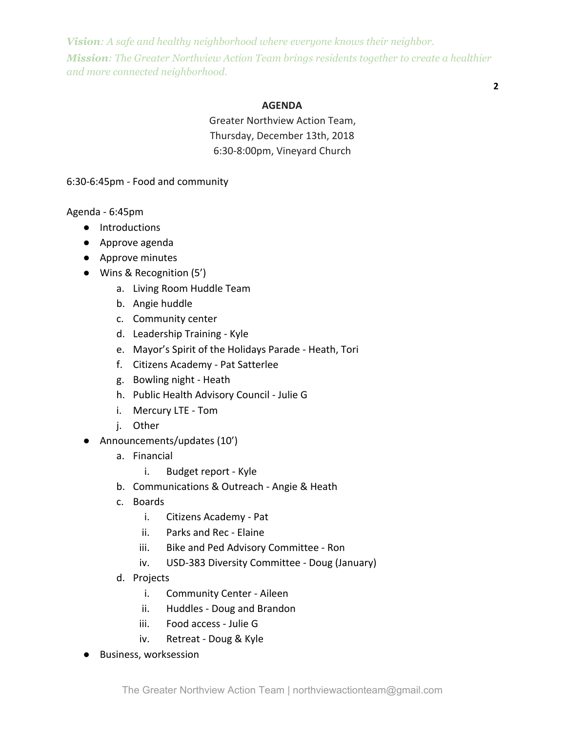## **2**

#### **AGENDA**

Greater Northview Action Team, Thursday, December 13th, 2018 6:30-8:00pm, Vineyard Church

6:30-6:45pm - Food and community

Agenda - 6:45pm

- Introductions
- Approve agenda
- Approve minutes
- Wins & Recognition (5')
	- a. Living Room Huddle Team
	- b. Angie huddle
	- c. Community center
	- d. Leadership Training Kyle
	- e. Mayor's Spirit of the Holidays Parade Heath, Tori
	- f. Citizens Academy Pat Satterlee
	- g. Bowling night Heath
	- h. Public Health Advisory Council Julie G
	- i. Mercury LTE Tom
	- j. Other
- Announcements/updates (10')
	- a. Financial
		- i. Budget report Kyle
	- b. Communications & Outreach Angie & Heath
	- c. Boards
		- i. Citizens Academy Pat
		- ii. Parks and Rec Elaine
		- iii. Bike and Ped Advisory Committee Ron
		- iv. USD-383 Diversity Committee Doug (January)
	- d. Projects
		- i. Community Center Aileen
		- ii. Huddles Doug and Brandon
		- iii. Food access Julie G
		- iv. Retreat Doug & Kyle
- Business, worksession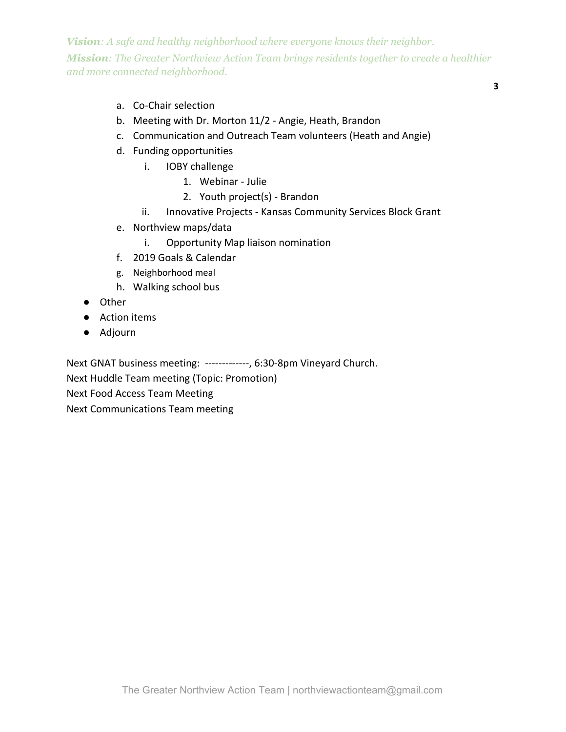**3**

- a. Co-Chair selection
- b. Meeting with Dr. Morton 11/2 Angie, Heath, Brandon
- c. Communication and Outreach Team volunteers (Heath and Angie)
- d. Funding opportunities
	- i. IOBY challenge
		- 1. Webinar Julie
		- 2. Youth project(s) Brandon
	- ii. Innovative Projects Kansas Community Services Block Grant
- e. Northview maps/data
	- i. Opportunity Map liaison nomination
- f. 2019 Goals & Calendar
- g. Neighborhood meal
- h. Walking school bus
- Other
- Action items
- Adjourn

Next GNAT business meeting: -------------, 6:30-8pm Vineyard Church.

Next Huddle Team meeting (Topic: Promotion)

Next Food Access Team Meeting

Next Communications Team meeting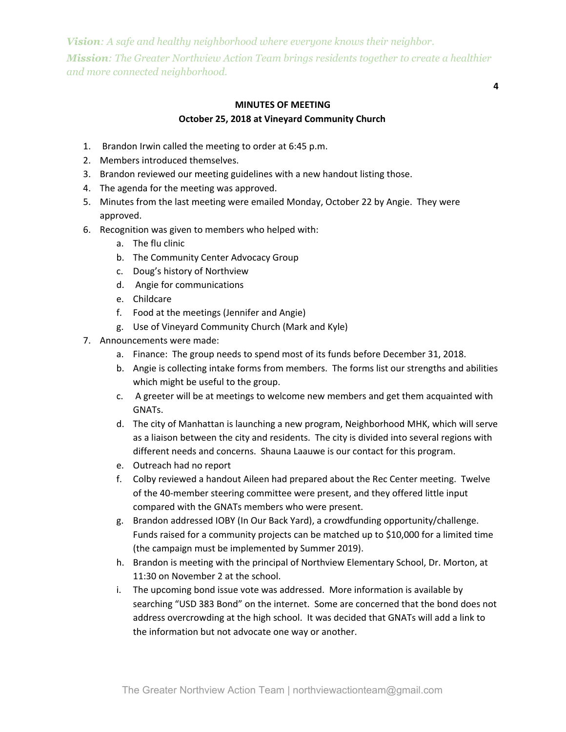# **MINUTES OF MEETING October 25, 2018 at Vineyard Community Church**

**4**

- 1. Brandon Irwin called the meeting to order at 6:45 p.m.
- 2. Members introduced themselves.
- 3. Brandon reviewed our meeting guidelines with a new handout listing those.
- 4. The agenda for the meeting was approved.
- 5. Minutes from the last meeting were emailed Monday, October 22 by Angie. They were approved.
- 6. Recognition was given to members who helped with:
	- a. The flu clinic
	- b. The Community Center Advocacy Group
	- c. Doug's history of Northview
	- d. Angie for communications
	- e. Childcare
	- f. Food at the meetings (Jennifer and Angie)
	- g. Use of Vineyard Community Church (Mark and Kyle)
- 7. Announcements were made:
	- a. Finance: The group needs to spend most of its funds before December 31, 2018.
	- b. Angie is collecting intake forms from members. The forms list our strengths and abilities which might be useful to the group.
	- c. A greeter will be at meetings to welcome new members and get them acquainted with GNATs.
	- d. The city of Manhattan is launching a new program, Neighborhood MHK, which will serve as a liaison between the city and residents. The city is divided into several regions with different needs and concerns. Shauna Laauwe is our contact for this program.
	- e. Outreach had no report
	- f. Colby reviewed a handout Aileen had prepared about the Rec Center meeting. Twelve of the 40-member steering committee were present, and they offered little input compared with the GNATs members who were present.
	- g. Brandon addressed IOBY (In Our Back Yard), a crowdfunding opportunity/challenge. Funds raised for a community projects can be matched up to \$10,000 for a limited time (the campaign must be implemented by Summer 2019).
	- h. Brandon is meeting with the principal of Northview Elementary School, Dr. Morton, at 11:30 on November 2 at the school.
	- i. The upcoming bond issue vote was addressed. More information is available by searching "USD 383 Bond" on the internet. Some are concerned that the bond does not address overcrowding at the high school. It was decided that GNATs will add a link to the information but not advocate one way or another.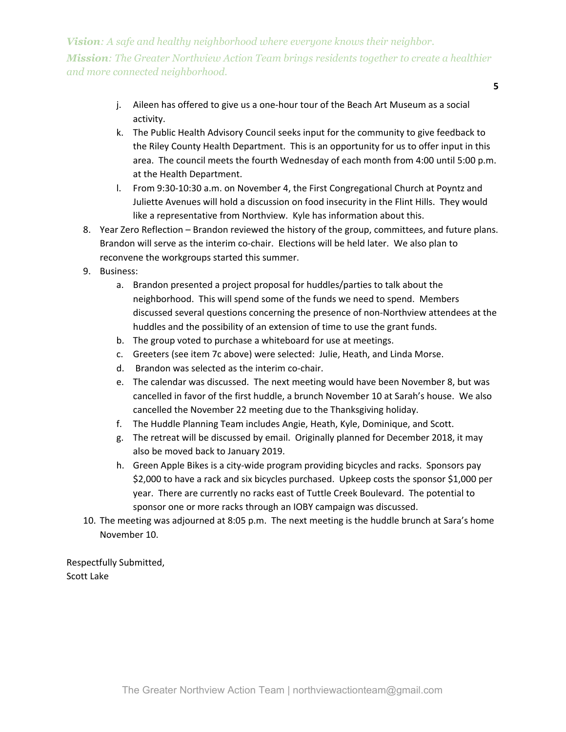- **5**
- j. Aileen has offered to give us a one-hour tour of the Beach Art Museum as a social activity.
- k. The Public Health Advisory Council seeks input for the community to give feedback to the Riley County Health Department. This is an opportunity for us to offer input in this area. The council meets the fourth Wednesday of each month from 4:00 until 5:00 p.m. at the Health Department.
- l. From 9:30-10:30 a.m. on November 4, the First Congregational Church at Poyntz and Juliette Avenues will hold a discussion on food insecurity in the Flint Hills. They would like a representative from Northview. Kyle has information about this.
- 8. Year Zero Reflection Brandon reviewed the history of the group, committees, and future plans. Brandon will serve as the interim co-chair. Elections will be held later. We also plan to reconvene the workgroups started this summer.
- 9. Business:
	- a. Brandon presented a project proposal for huddles/parties to talk about the neighborhood. This will spend some of the funds we need to spend. Members discussed several questions concerning the presence of non-Northview attendees at the huddles and the possibility of an extension of time to use the grant funds.
	- b. The group voted to purchase a whiteboard for use at meetings.
	- c. Greeters (see item 7c above) were selected: Julie, Heath, and Linda Morse.
	- d. Brandon was selected as the interim co-chair.
	- e. The calendar was discussed. The next meeting would have been November 8, but was cancelled in favor of the first huddle, a brunch November 10 at Sarah's house. We also cancelled the November 22 meeting due to the Thanksgiving holiday.
	- f. The Huddle Planning Team includes Angie, Heath, Kyle, Dominique, and Scott.
	- g. The retreat will be discussed by email. Originally planned for December 2018, it may also be moved back to January 2019.
	- h. Green Apple Bikes is a city-wide program providing bicycles and racks. Sponsors pay \$2,000 to have a rack and six bicycles purchased. Upkeep costs the sponsor \$1,000 per year. There are currently no racks east of Tuttle Creek Boulevard. The potential to sponsor one or more racks through an IOBY campaign was discussed.
- 10. The meeting was adjourned at 8:05 p.m. The next meeting is the huddle brunch at Sara's home November 10.

Respectfully Submitted, Scott Lake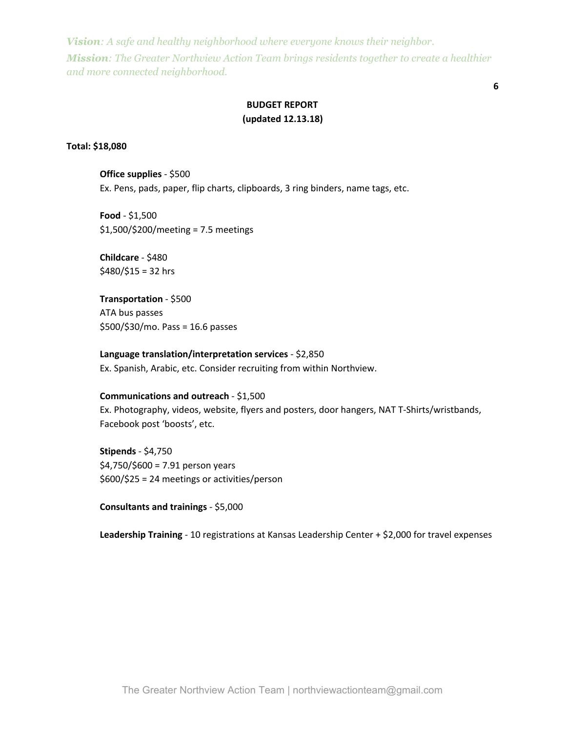**6**

## **BUDGET REPORT (updated 12.13.18)**

### **Total: \$18,080**

**Office supplies** - \$500 Ex. Pens, pads, paper, flip charts, clipboards, 3 ring binders, name tags, etc.

**Food** - \$1,500 \$1,500/\$200/meeting = 7.5 meetings

**Childcare** - \$480  $$480/\$15 = 32$  hrs

**Transportation** - \$500 ATA bus passes \$500/\$30/mo. Pass = 16.6 passes

**Language translation/interpretation services** - \$2,850 Ex. Spanish, Arabic, etc. Consider recruiting from within Northview.

## **Communications and outreach** - \$1,500

Ex. Photography, videos, website, flyers and posters, door hangers, NAT T-Shirts/wristbands, Facebook post 'boosts', etc.

**Stipends** - \$4,750  $$4,750$ / $$600 = 7.91$  person years \$600/\$25 = 24 meetings or activities/person

**Consultants and trainings** - \$5,000

**Leadership Training** - 10 registrations at Kansas Leadership Center + \$2,000 for travel expenses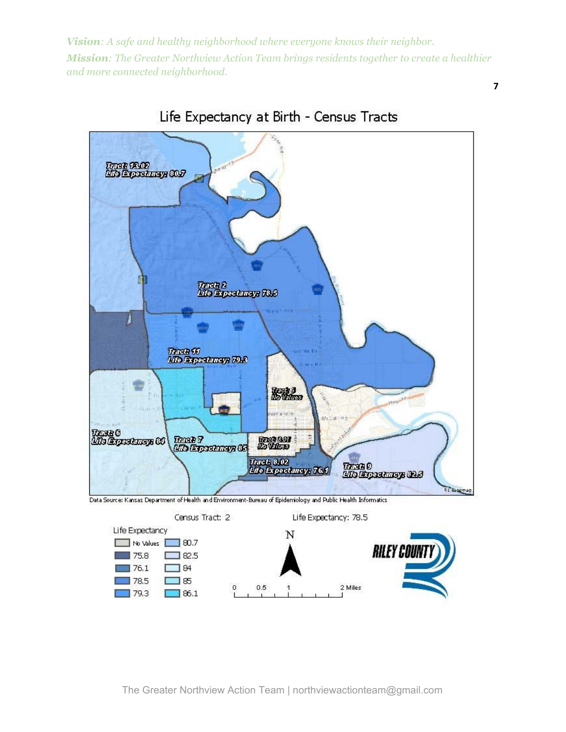**7**





Data Source: Kansas Department of Health and Environment-Bureau of Epidemiology and Public Health Informatics